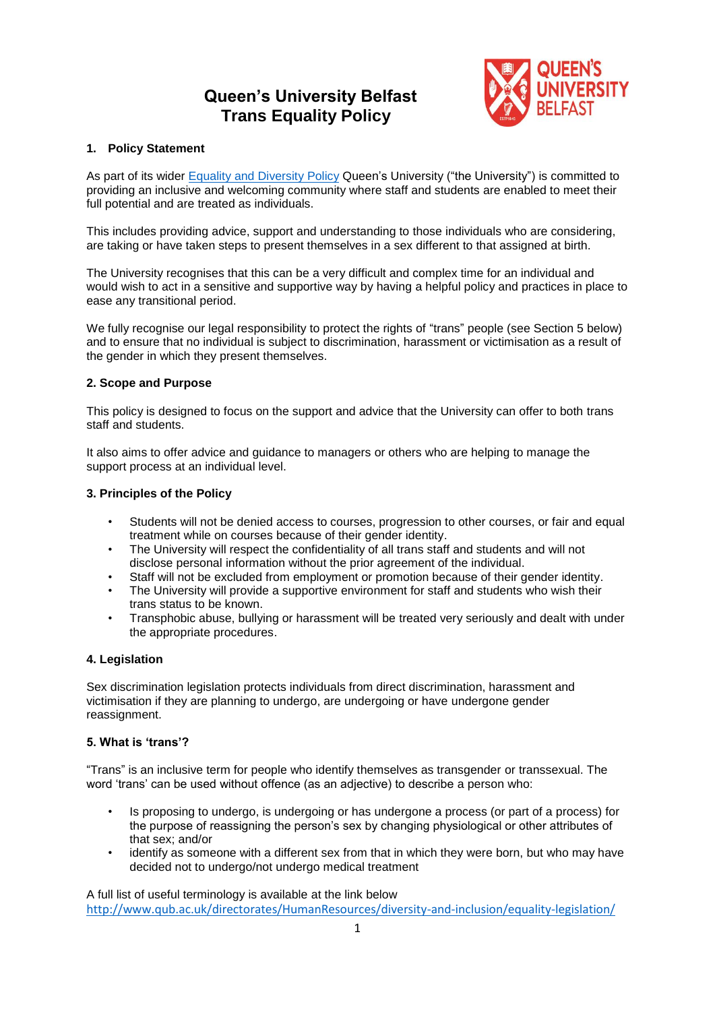# **Queen's University Belfast Trans Equality Policy**



# **1. Policy Statement**

As part of its wider [Equality and Diversity Policy](http://www.qub.ac.uk/directorates/HumanResources/hr-filestore/Filetoupload,866894,en.pdf) Queen's University ("the University") is committed to providing an inclusive and welcoming community where staff and students are enabled to meet their full potential and are treated as individuals.

This includes providing advice, support and understanding to those individuals who are considering, are taking or have taken steps to present themselves in a sex different to that assigned at birth.

The University recognises that this can be a very difficult and complex time for an individual and would wish to act in a sensitive and supportive way by having a helpful policy and practices in place to ease any transitional period.

We fully recognise our legal responsibility to protect the rights of "trans" people (see Section 5 below) and to ensure that no individual is subject to discrimination, harassment or victimisation as a result of the gender in which they present themselves.

# **2. Scope and Purpose**

This policy is designed to focus on the support and advice that the University can offer to both trans staff and students.

It also aims to offer advice and guidance to managers or others who are helping to manage the support process at an individual level.

# **3. Principles of the Policy**

- Students will not be denied access to courses, progression to other courses, or fair and equal treatment while on courses because of their gender identity.
- The University will respect the confidentiality of all trans staff and students and will not disclose personal information without the prior agreement of the individual.
- Staff will not be excluded from employment or promotion because of their gender identity.
- The University will provide a supportive environment for staff and students who wish their trans status to be known.
- Transphobic abuse, bullying or harassment will be treated very seriously and dealt with under the appropriate procedures.

# **4. Legislation**

Sex discrimination legislation protects individuals from direct discrimination, harassment and victimisation if they are planning to undergo, are undergoing or have undergone gender reassignment.

# **5. What is 'trans'?**

"Trans" is an inclusive term for people who identify themselves as transgender or transsexual. The word 'trans' can be used without offence (as an adjective) to describe a person who:

- Is proposing to undergo, is undergoing or has undergone a process (or part of a process) for the purpose of reassigning the person's sex by changing physiological or other attributes of that sex; and/or
- identify as someone with a different sex from that in which they were born, but who may have decided not to undergo/not undergo medical treatment

A full list of useful terminology is available at the link below <http://www.qub.ac.uk/directorates/HumanResources/diversity-and-inclusion/equality-legislation/>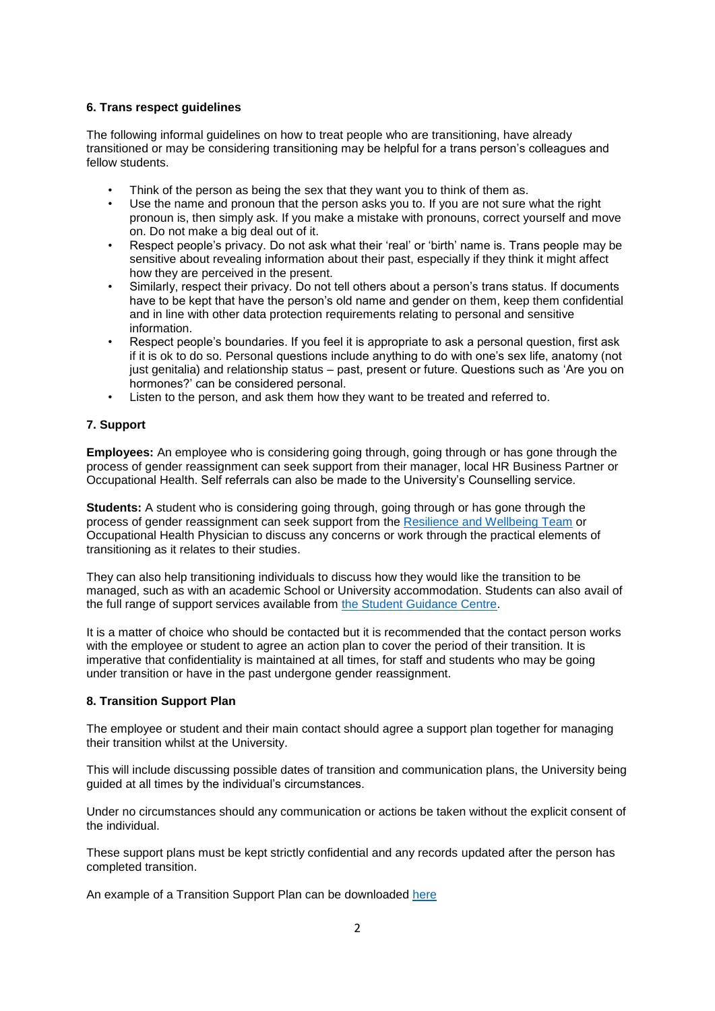# **6. Trans respect guidelines**

The following informal guidelines on how to treat people who are transitioning, have already transitioned or may be considering transitioning may be helpful for a trans person's colleagues and fellow students.

- Think of the person as being the sex that they want you to think of them as.
- Use the name and pronoun that the person asks you to. If you are not sure what the right pronoun is, then simply ask. If you make a mistake with pronouns, correct yourself and move on. Do not make a big deal out of it.
- Respect people's privacy. Do not ask what their 'real' or 'birth' name is. Trans people may be sensitive about revealing information about their past, especially if they think it might affect how they are perceived in the present.
- Similarly, respect their privacy. Do not tell others about a person's trans status. If documents have to be kept that have the person's old name and gender on them, keep them confidential and in line with other data protection requirements relating to personal and sensitive information.
- Respect people's boundaries. If you feel it is appropriate to ask a personal question, first ask if it is ok to do so. Personal questions include anything to do with one's sex life, anatomy (not just genitalia) and relationship status – past, present or future. Questions such as 'Are you on hormones?' can be considered personal.
- Listen to the person, and ask them how they want to be treated and referred to.

# **7. Support**

**Employees:** An employee who is considering going through, going through or has gone through the process of gender reassignment can seek support from their manager, local HR Business Partner or Occupational Health. Self referrals can also be made to the University's Counselling service.

**Students:** A student who is considering going through, going through or has gone through the process of gender reassignment can seek support from the [Resilience and Wellbeing Team](http://www.qub.ac.uk/directorates/sgc/wellbeing/) or Occupational Health Physician to discuss any concerns or work through the practical elements of transitioning as it relates to their studies.

They can also help transitioning individuals to discuss how they would like the transition to be managed, such as with an academic School or University accommodation. Students can also avail of the full range of support services available from [the Student Guidance Centre.](http://www.qub.ac.uk/directorates/sgc/)

It is a matter of choice who should be contacted but it is recommended that the contact person works with the employee or student to agree an action plan to cover the period of their transition. It is imperative that confidentiality is maintained at all times, for staff and students who may be going under transition or have in the past undergone gender reassignment.

## **8. Transition Support Plan**

The employee or student and their main contact should agree a support plan together for managing their transition whilst at the University.

This will include discussing possible dates of transition and communication plans, the University being guided at all times by the individual's circumstances.

Under no circumstances should any communication or actions be taken without the explicit consent of the individual.

These support plans must be kept strictly confidential and any records updated after the person has completed transition.

An example of a Transition Support Plan can be downloaded [here](https://www.qub.ac.uk/directorates/HumanResources/hr-filestore/Filetoupload,866817,en.pdf)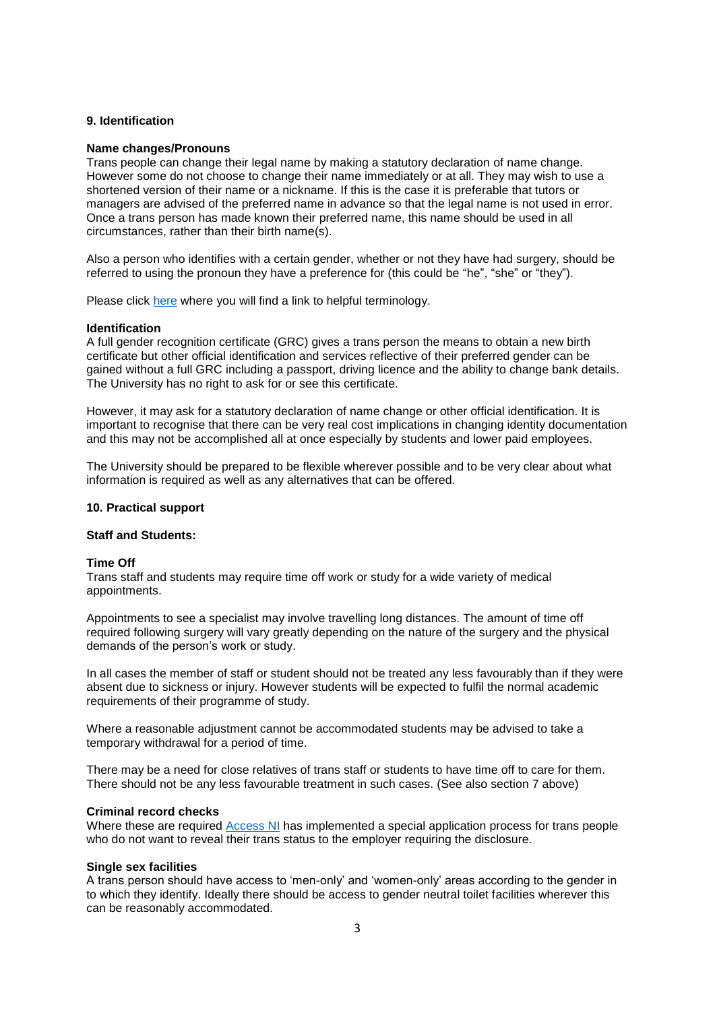## **9. Identification**

#### **Name changes/Pronouns**

Trans people can change their legal name by making a statutory declaration of name change. However some do not choose to change their name immediately or at all. They may wish to use a shortened version of their name or a nickname. If this is the case it is preferable that tutors or managers are advised of the preferred name in advance so that the legal name is not used in error. Once a trans person has made known their preferred name, this name should be used in all circumstances, rather than their birth name(s).

Also a person who identifies with a certain gender, whether or not they have had surgery, should be referred to using the pronoun they have a preference for (this could be "he", "she" or "they").

Please click [here](https://transgenderni.org.uk/glossary/) where you will find a link to helpful terminology.

#### **Identification**

A full gender recognition certificate (GRC) gives a trans person the means to obtain a new birth certificate but other official identification and services reflective of their preferred gender can be gained without a full GRC including a passport, driving licence and the ability to change bank details. The University has no right to ask for or see this certificate.

However, it may ask for a statutory declaration of name change or other official identification. It is important to recognise that there can be very real cost implications in changing identity documentation and this may not be accomplished all at once especially by students and lower paid employees.

The University should be prepared to be flexible wherever possible and to be very clear about what information is required as well as any alternatives that can be offered.

#### **10. Practical support**

#### **Staff and Students:**

#### **Time Off**

Trans staff and students may require time off work or study for a wide variety of medical appointments.

Appointments to see a specialist may involve travelling long distances. The amount of time off required following surgery will vary greatly depending on the nature of the surgery and the physical demands of the person's work or study.

In all cases the member of staff or student should not be treated any less favourably than if they were absent due to sickness or injury. However students will be expected to fulfil the normal academic requirements of their programme of study.

Where a reasonable adjustment cannot be accommodated students may be advised to take a temporary withdrawal for a period of time.

There may be a need for close relatives of trans staff or students to have time off to care for them. There should not be any less favourable treatment in such cases. (See also section 7 above)

#### **Criminal record checks**

Where these are required [Access NI](http://www.nidirect.gov.uk/accessni) has implemented a special application process for trans people who do not want to reveal their trans status to the employer requiring the disclosure.

## **Single sex facilities**

A trans person should have access to 'men-only' and 'women-only' areas according to the gender in to which they identify. Ideally there should be access to gender neutral toilet facilities wherever this can be reasonably accommodated.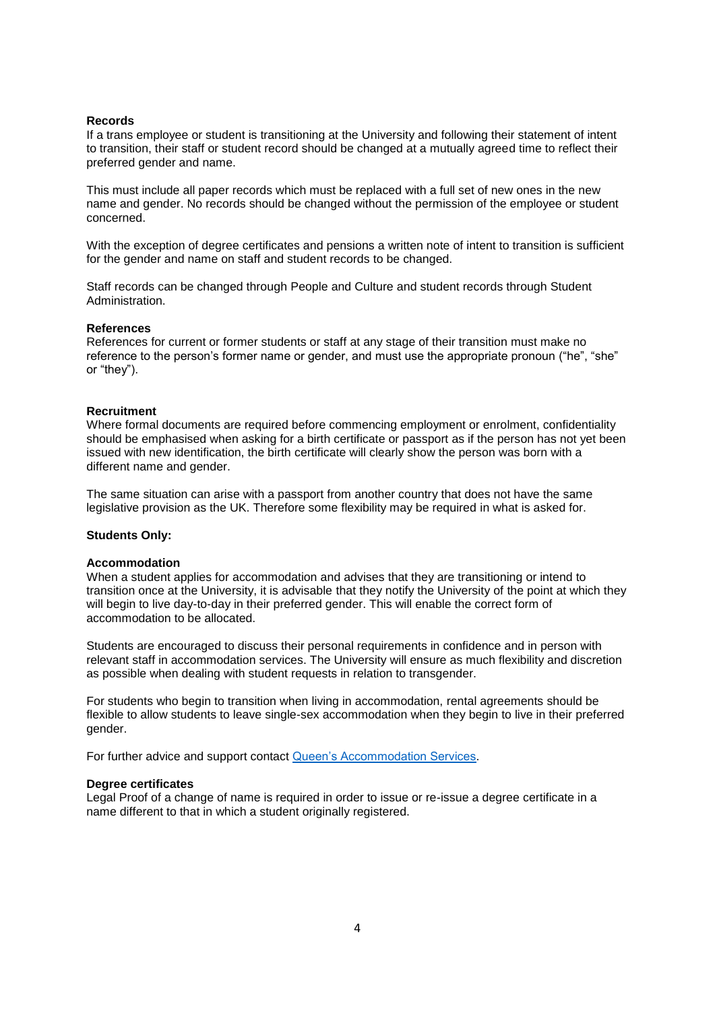## **Records**

If a trans employee or student is transitioning at the University and following their statement of intent to transition, their staff or student record should be changed at a mutually agreed time to reflect their preferred gender and name.

This must include all paper records which must be replaced with a full set of new ones in the new name and gender. No records should be changed without the permission of the employee or student concerned.

With the exception of degree certificates and pensions a written note of intent to transition is sufficient for the gender and name on staff and student records to be changed.

Staff records can be changed through People and Culture and student records through Student Administration.

#### **References**

References for current or former students or staff at any stage of their transition must make no reference to the person's former name or gender, and must use the appropriate pronoun ("he", "she" or "they").

## **Recruitment**

Where formal documents are required before commencing employment or enrolment, confidentiality should be emphasised when asking for a birth certificate or passport as if the person has not yet been issued with new identification, the birth certificate will clearly show the person was born with a different name and gender.

The same situation can arise with a passport from another country that does not have the same legislative provision as the UK. Therefore some flexibility may be required in what is asked for.

## **Students Only:**

#### **Accommodation**

When a student applies for accommodation and advises that they are transitioning or intend to transition once at the University, it is advisable that they notify the University of the point at which they will begin to live day-to-day in their preferred gender. This will enable the correct form of accommodation to be allocated.

Students are encouraged to discuss their personal requirements in confidence and in person with relevant staff in accommodation services. The University will ensure as much flexibility and discretion as possible when dealing with student requests in relation to transgender.

For students who begin to transition when living in accommodation, rental agreements should be flexible to allow students to leave single-sex accommodation when they begin to live in their preferred gender.

For further advice and support contact [Queen's Accommodation Services.](http://www.stayatqueens.com/)

#### **Degree certificates**

Legal Proof of a change of name is required in order to issue or re-issue a degree certificate in a name different to that in which a student originally registered.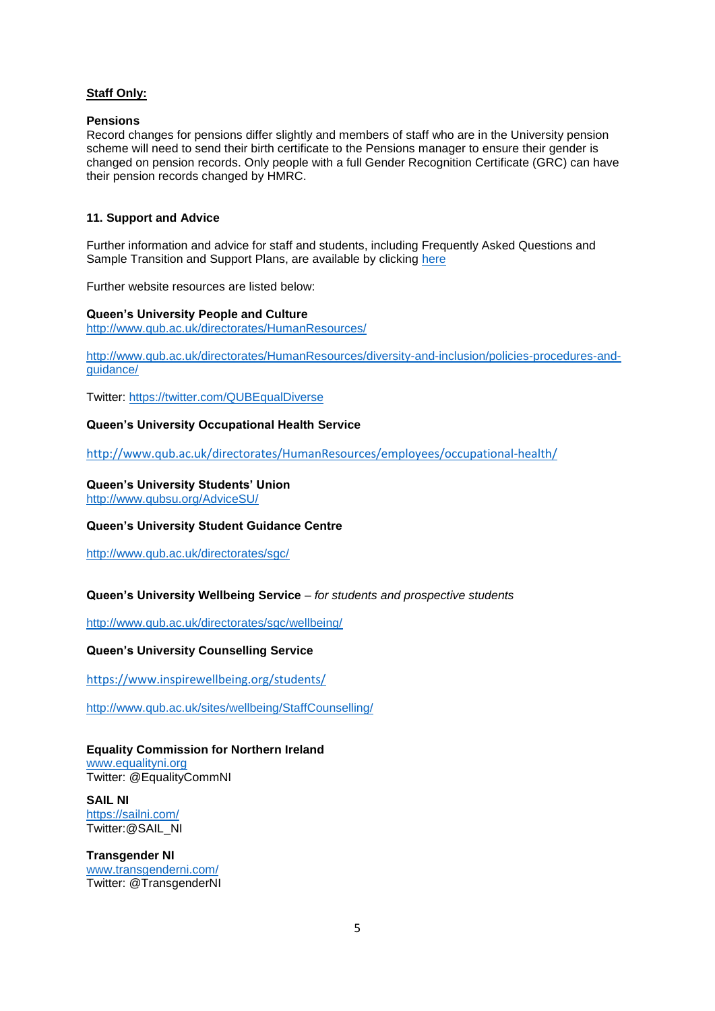# **Staff Only:**

## **Pensions**

Record changes for pensions differ slightly and members of staff who are in the University pension scheme will need to send their birth certificate to the Pensions manager to ensure their gender is changed on pension records. Only people with a full Gender Recognition Certificate (GRC) can have their pension records changed by HMRC.

## **11. Support and Advice**

Further information and advice for staff and students, including Frequently Asked Questions and Sample Transition and Support Plans, are available by clicking [here](https://www.qub.ac.uk/directorates/HumanResources/hr-filestore/Filetoupload,866817,en.pdf)

Further website resources are listed below:

**Queen's University People and Culture** <http://www.qub.ac.uk/directorates/HumanResources/>

[http://www.qub.ac.uk/directorates/HumanResources/diversity-and-inclusion/policies-procedures-and](http://www.qub.ac.uk/directorates/HumanResources/diversity-and-inclusion/policies-procedures-and-guidance/)quidance/

Twitter:<https://twitter.com/QUBEqualDiverse>

## **Queen's University Occupational Health Service**

<http://www.qub.ac.uk/directorates/HumanResources/employees/occupational-health/>

# **Queen's University Students' Union**

<http://www.qubsu.org/AdviceSU/>

# **Queen's University Student Guidance Centre**

<http://www.qub.ac.uk/directorates/sgc/>

## **Queen's University Wellbeing Service** *– for students and prospective students*

<http://www.qub.ac.uk/directorates/sgc/wellbeing/>

## **Queen's University Counselling Service**

<https://www.inspirewellbeing.org/students/>

<http://www.qub.ac.uk/sites/wellbeing/StaffCounselling/>

# **Equality Commission for Northern Ireland**

[www.equalityni.org](http://www.equalityni.org/) Twitter: @EqualityCommNI

**SAIL NI** <https://sailni.com/> Twitter:@SAIL\_NI

**Transgender NI** [www.transgenderni.com/](http://www.transgenderni.com/) Twitter: @TransgenderNI